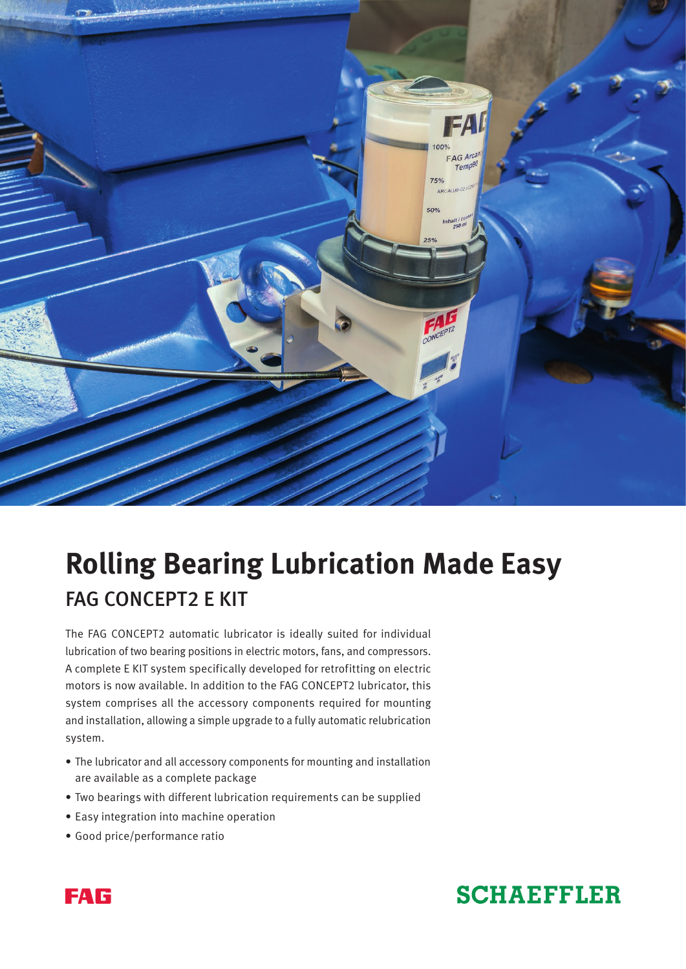

# **Rolling Bearing Lubrication Made Easy** FAG CONCEPT2 E KIT

The FAG CONCEPT2 automatic lubricator is ideally suited for individual lubrication of two bearing positions in electric motors, fans, and compressors. A complete E KIT system specifically developed for retrofitting on electric motors is now available. In addition to the FAG CONCEPT2 lubricator, this system comprises all the accessory components required for mounting and installation, allowing a simple upgrade to a fully automatic relubrication system.

- The lubricator and all accessory components for mounting and installation are available as a complete package
- Two bearings with different lubrication requirements can be supplied
- Easy integration into machine operation
- Good price/performance ratio